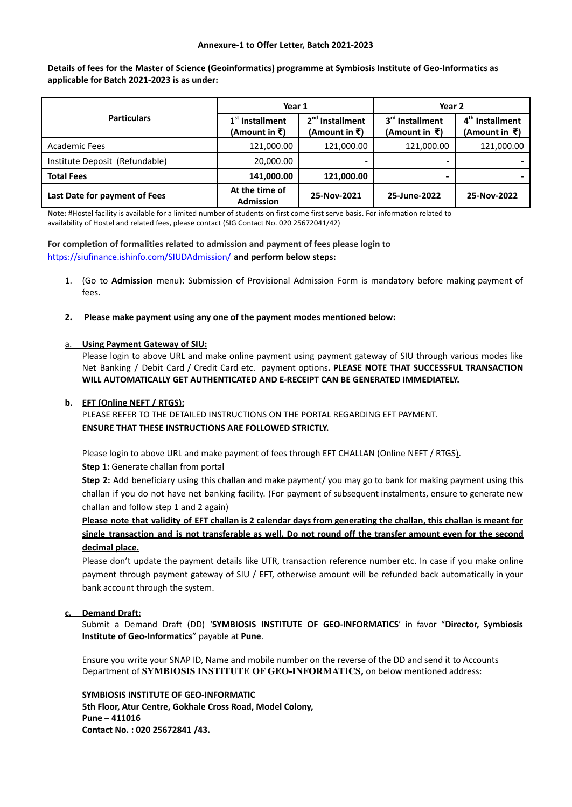#### **Annexure-1 to Offer Letter, Batch 2021-2023**

Details of fees for the Master of Science (Geoinformatics) programme at Symbiosis Institute of Geo-Informatics as **applicable for Batch 2021-2023 is as under:**

| <b>Particulars</b>             | Year 1                             |                                    | Year 2                                       |                                                 |
|--------------------------------|------------------------------------|------------------------------------|----------------------------------------------|-------------------------------------------------|
|                                | $1st$ Installment<br>(Amount in ₹) | $2nd$ Installment<br>(Amount in ₹) | 3 <sup>rd</sup> Installment<br>(Amount in ₹) | 4 <sup>th</sup> Installment<br>$(A$ mount in ₹) |
| Academic Fees                  | 121,000.00                         | 121,000.00                         | 121,000.00                                   | 121,000.00                                      |
| Institute Deposit (Refundable) | 20,000.00                          |                                    |                                              |                                                 |
| <b>Total Fees</b>              | 141,000.00                         | 121,000.00                         | -                                            |                                                 |
| Last Date for payment of Fees  | At the time of<br><b>Admission</b> | 25-Nov-2021                        | 25-June-2022                                 | 25-Nov-2022                                     |

**Note:** #Hostel facility is available for a limited number of students on first come first serve basis. For information related to availability of Hostel and related fees, please contact (SIG Contact No. 020 25672041/42)

#### **For completion of formalities related to admission and payment of fees please login to**

<https://siufinance.ishinfo.com/SIUDAdmission/> **and perform below steps:**

- 1. (Go to **Admission** menu): Submission of Provisional Admission Form is mandatory before making payment of fees.
- **2. Please make payment using any one of the payment modes mentioned below:**

#### a. **Using Payment Gateway of SIU:**

Please login to above URL and make online payment using payment gateway of SIU through various modes like Net Banking / Debit Card / Credit Card etc. payment options**. PLEASE NOTE THAT SUCCESSFUL TRANSACTION WILL AUTOMATICALLY GET AUTHENTICATED AND E-RECEIPT CAN BE GENERATED IMMEDIATELY.**

#### **b. EFT (Online NEFT / RTGS):**

PLEASE REFER TO THE DETAILED INSTRUCTIONS ON THE PORTAL REGARDING EFT PAYMENT. **ENSURE THAT THESE INSTRUCTIONS ARE FOLLOWED STRICTLY.**

Please login to above URL and make payment of fees through EFT CHALLAN (Online NEFT / RTGS).

**Step 1:** Generate challan from portal

**Step 2:** Add beneficiary using this challan and make payment/ you may go to bank for making payment using this challan if you do not have net banking facility. (For payment of subsequent instalments, ensure to generate new challan and follow step 1 and 2 again)

Please note that validity of EFT challan is 2 calendar days from generating the challan, this challan is meant for single transaction and is not transferable as well. Do not round off the transfer amount even for the second **decimal place.**

Please don't update the payment details like UTR, transaction reference number etc. In case if you make online payment through payment gateway of SIU / EFT, otherwise amount will be refunded back automatically in your bank account through the system.

#### **c. Demand Draft:**

Submit a Demand Draft (DD) '**SYMBIOSIS INSTITUTE OF GEO-INFORMATICS**' in favor "**Director, Symbiosis Institute of Geo-Informatics**" payable at **Pune**.

Ensure you write your SNAP ID, Name and mobile number on the reverse of the DD and send it to Accounts Department of **SYMBIOSIS INSTITUTE OF GEO-INFORMATICS,** on below mentioned address:

**SYMBIOSIS INSTITUTE OF GEO-INFORMATIC 5th Floor, Atur Centre, Gokhale Cross Road, Model Colony, Pune – 411016 Contact No. : 020 25672841 /43.**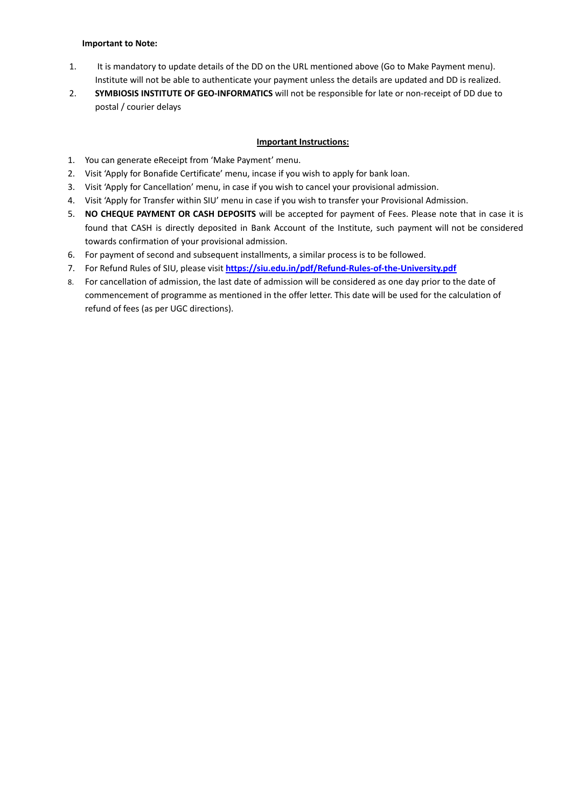#### **Important to Note:**

- 1. It is mandatory to update details of the DD on the URL mentioned above (Go to Make Payment menu). Institute will not be able to authenticate your payment unless the details are updated and DD is realized.
- 2. **SYMBIOSIS INSTITUTE OF GEO-INFORMATICS** will not be responsible for late or non-receipt of DD due to postal / courier delays

## **Important Instructions:**

- 1. You can generate eReceipt from 'Make Payment' menu.
- 2. Visit 'Apply for Bonafide Certificate' menu, incase if you wish to apply for bank loan.
- 3. Visit 'Apply for Cancellation' menu, in case if you wish to cancel your provisional admission.
- 4. Visit 'Apply for Transfer within SIU' menu in case if you wish to transfer your Provisional Admission.
- 5. **NO CHEQUE PAYMENT OR CASH DEPOSITS** will be accepted for payment of Fees. Please note that in case it is found that CASH is directly deposited in Bank Account of the Institute, such payment will not be considered towards confirmation of your provisional admission.
- 6. For payment of second and subsequent installments, a similar process is to be followed.
- 7. For Refund Rules of SIU, please visit **<https://siu.edu.in/pdf/Refund-Rules-of-the-University.pdf>**
- 8. For cancellation of admission, the last date of admission will be considered as one day prior to the date of commencement of programme as mentioned in the offer letter. This date will be used for the calculation of refund of fees (as per UGC directions).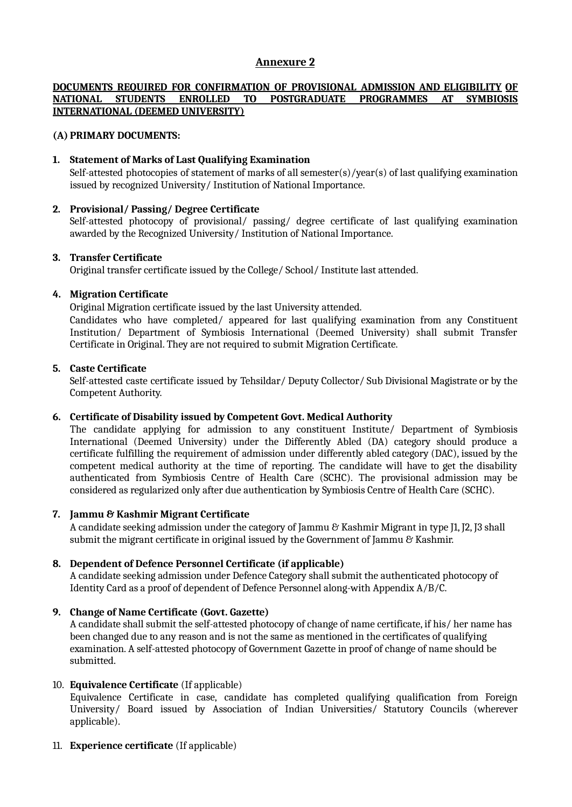# **Annexure 2**

## **DOCUMENTS REQUIRED FOR CONFIRMATION OF PROVISIONAL ADMISSION AND ELIGIBILITY OF NATIONAL STUDENTS ENROLLED TO POSTGRADUATE PROGRAMMES AT SYMBIOSIS INTERNATIONAL (DEEMED UNIVERSITY)**

# **(A) PRIMARY DOCUMENTS:**

# **1. Statement of Marks of Last Qualifying Examination**

Self-attested photocopies of statement of marks of all semester(s)/year(s) of last qualifying examination issued by recognized University/ Institution of National Importance.

# **2. Provisional/ Passing/ Degree Certificate**

Self-attested photocopy of provisional/ passing/ degree certificate of last qualifying examination awarded by the Recognized University/ Institution of National Importance.

### **3. Transfer Certificate**

Original transfer certificate issued by the College/ School/ Institute last attended.

# **4. Migration Certificate**

Original Migration certificate issued by the last University attended.

Candidates who have completed/ appeared for last qualifying examination from any Constituent Institution/ Department of Symbiosis International (Deemed University) shall submit Transfer Certificate in Original. They are not required to submit Migration Certificate.

# **5. Caste Certificate**

Self-attested caste certificate issued by Tehsildar/ Deputy Collector/ Sub Divisional Magistrate or by the Competent Authority.

### **6. Certificate of Disability issued by Competent Govt. Medical Authority**

The candidate applying for admission to any constituent Institute/ Department of Symbiosis International (Deemed University) under the Differently Abled (DA) category should produce a certificate fulfilling the requirement of admission under differently abled category (DAC), issued by the competent medical authority at the time of reporting. The candidate will have to get the disability authenticated from Symbiosis Centre of Health Care (SCHC). The provisional admission may be considered as regularized only after due authentication by Symbiosis Centre of Health Care (SCHC).

# **7. Jammu & Kashmir Migrant Certificate**

A candidate seeking admission under the category of Jammu & Kashmir Migrant in type J1, J2, J3 shall submit the migrant certificate in original issued by the Government of Jammu & Kashmir.

### **8. Dependent of Defence Personnel Certificate (if applicable)**

A candidate seeking admission under Defence Category shall submit the authenticated photocopy of Identity Card as a proof of dependent of Defence Personnel along-with Appendix A/B/C.

### **9. Change of Name Certificate (Govt. Gazette)**

A candidate shall submit the self-attested photocopy of change of name certificate, if his/ her name has been changed due to any reason and is not the same as mentioned in the certificates of qualifying examination. A self-attested photocopy of Government Gazette in proof of change of name should be submitted.

### 10. **Equivalence Certificate** (If applicable)

Equivalence Certificate in case, candidate has completed qualifying qualification from Foreign University/ Board issued by Association of Indian Universities/ Statutory Councils (wherever applicable).

### 11. **Experience certificate** (If applicable)